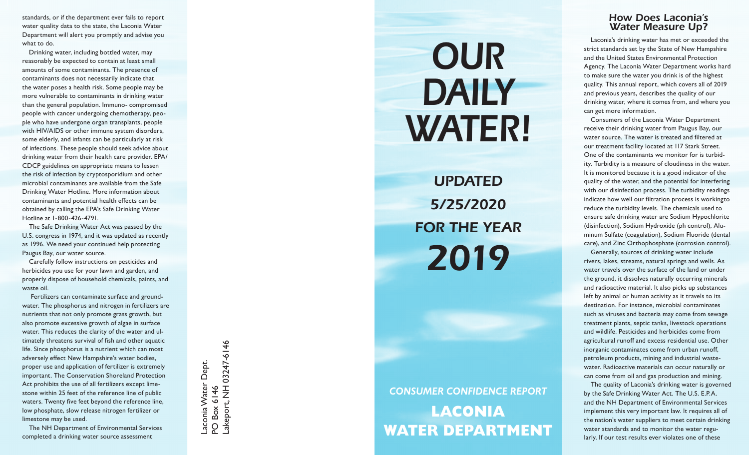standards, or if the department ever fails to report water quality data to the state, the Laconia Water Department will alert you promptly and advise you what to do.

Drinking water, including bottled water, may reasonably be expected to contain at least small amounts of some contaminants. The presence of contaminants does not necessarily indicate that the water poses a health risk. Some people may be more vulnerable to contaminants in drinking water than the general population. Immuno - compromised people with cancer undergoing chemotherapy, peo ‑ ple who have undergone organ transplants, people with HIV/AIDS or other immune system disorders, some elderly, and infants can be particularly at risk of infections. These people should seek advice about drinking water from their health care provider. EPA/ CDCP guidelines on appropriate means to lessen the risk of infection by cryptosporidium and other microbial contaminants are available from the Safe Drinking Water Hotline. More information about contaminants and potential health effects can be obtained by calling the EPA's Safe Drinking Water Hotline at 1 -800 -426 -4791.

The Safe Drinking Water Act was passed by the U.S. congress in 1974, and it was updated as recently as 1996. We need your continued help protecting Paugus Bay, our water source.

Carefully follow instructions on pesticides and herbicides you use for your lawn and garden, and properly dispose of household chemicals, paints, and waste oil.

 Fertilizers can contaminate surface and ground ‑ water. The phosphorus and nitrogen in fertilizers are nutrients that not only promote grass growth, but also promote excessive growth of algae in surface water. This reduces the clarity of the water and ul ‑ timately threatens survival of fish and other aquatic life. Since phosphorus is a nutrient which can most adversely effect New Hampshire's water bodies, proper use and application of fertilizer is extremely important. The Conservation Shoreland Protection Act prohibits the use of all fertilizers except lime ‑ stone within 25 feet of the reference line of public waters. Twenty five feet beyond the reference line, low phosphate, slow release nitrogen fertilizer or limestone may be used.

The NH Department of Environmental Services completed a drinking water source assessment

akeport, NH 03247-6146 03247-6146Laconia Water Dept.<br>PO Box 6146 Laconia Water Dept. Lakeport, NH PO Box 6146

## *OUR DAILY WATER!*

*UPDATED 5/25/2020 FOR THE YEAR 2019*

## *CONSUMER CONFIDENCE REPORT* **LACONIA WATER DEPARTMENT**

## *How Does Laconia's Water Measure Up?*

Laconia's drinking water has met or exceeded the strict standards set by the State of New Hampshire and the United States Environmental Protection Agency. The Laconia Water Department works hard to make sure the water you drink is of the highest quality. This annual report, which covers all of 2019 and previous years, describes the quality of our drinking water, where it comes from, and where you can get more information.

Consumers of the Laconia Water Department receive their drinking water from Paugus Bay, our water source. The water is treated and filtered at our treatment facility located at 117 Stark Street. One of the contaminants we monitor for is turbid ‑ ity. Turbidity is a measure of cloudiness in the water. It is monitored because it is a good indicator of the quality of the water, and the potential for interfering with our disinfection process. The turbidity readings indicate how well our filtration process is workingto reduce the turbidity levels. The chemicals used to ensure safe drinking water are Sodium Hypochlorite (disinfection), Sodium Hydroxide (ph control), Alu ‑ minum Sulfate (coagulation), Sodium Fluoride (dental care), and Zinc Orthophosphate (corrosion control).

Generally, sources of drinking water include rivers, lakes, streams, natural springs and wells. As water travels over the surface of the land or under the ground, it dissolves naturally occurring minerals and radioactive material. It also picks up substances left by animal or human activity as it travels to its destination. For instance, microbial contaminates such as viruses and bacteria may come from sewage treatment plants, septic tanks, livestock operations and wildlife. Pesticides and herbicides come from agricultural runoff and excess residential use. Other inorganic contaminates come from urban runoff, petroleum products, mining and industrial wastewater. Radioactive materials can occur naturally or can come from oil and gas production and mining.

The quality of Laconia's drinking water is governed by the Safe Drinking Water Act. The U.S. E.P.A. and the NH Department of Environmental Services implement this very important law. It requires all of the nation's water suppliers to meet certain drinking water standards and to monitor the water regu ‑ larly. If our test results ever violates one of these